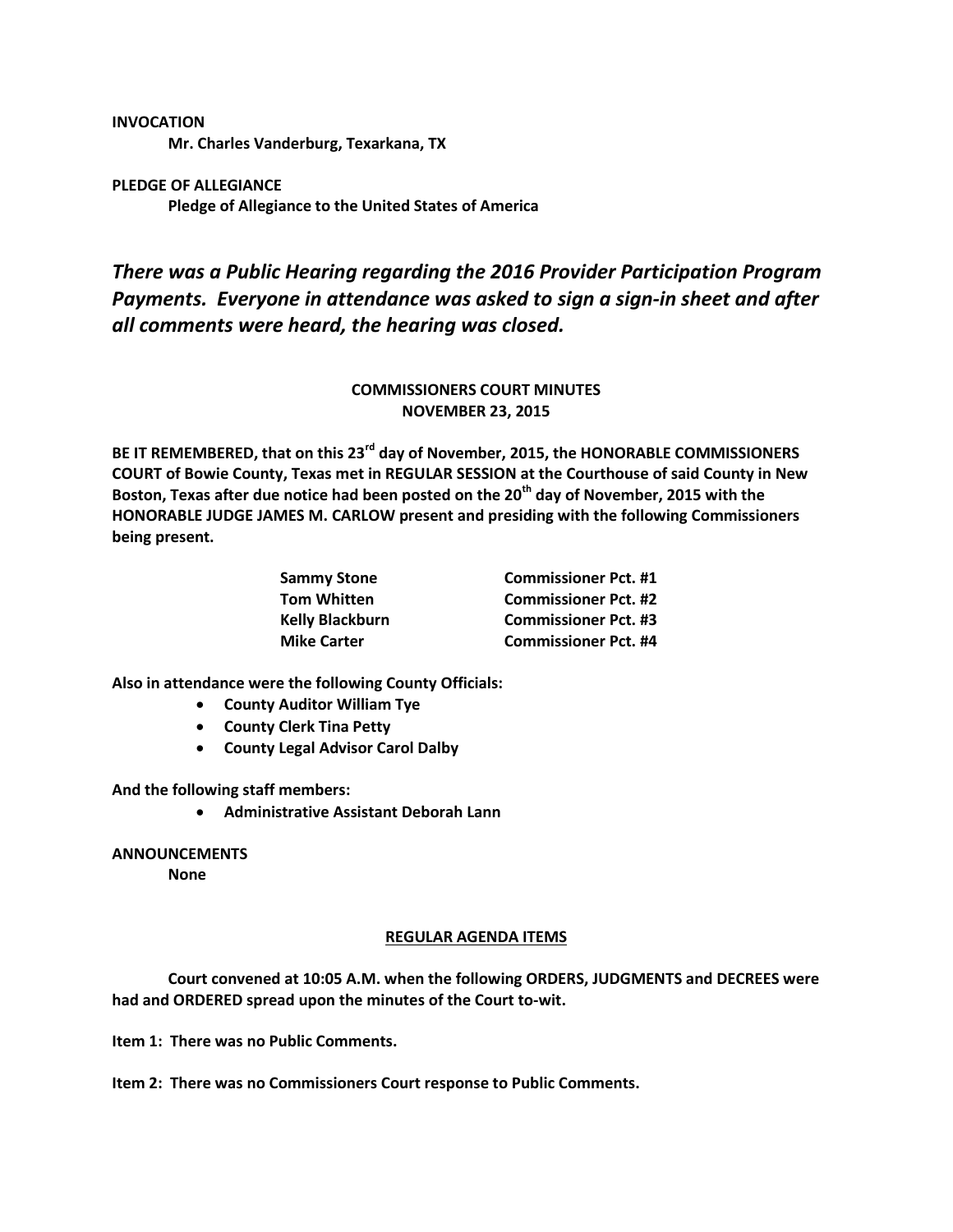#### **INVOCATION**

**Mr. Charles Vanderburg, Texarkana, TX**

## **PLEDGE OF ALLEGIANCE Pledge of Allegiance to the United States of America**

# *There was a Public Hearing regarding the 2016 Provider Participation Program Payments. Everyone in attendance was asked to sign a sign-in sheet and after all comments were heard, the hearing was closed.*

## **COMMISSIONERS COURT MINUTES NOVEMBER 23, 2015**

**BE IT REMEMBERED, that on this 23rd day of November, 2015, the HONORABLE COMMISSIONERS COURT of Bowie County, Texas met in REGULAR SESSION at the Courthouse of said County in New Boston, Texas after due notice had been posted on the 20th day of November, 2015 with the HONORABLE JUDGE JAMES M. CARLOW present and presiding with the following Commissioners being present.**

| <b>Sammy Stone</b>     | <b>Commissioner Pct. #1</b> |
|------------------------|-----------------------------|
| <b>Tom Whitten</b>     | <b>Commissioner Pct. #2</b> |
| <b>Kelly Blackburn</b> | <b>Commissioner Pct. #3</b> |
| <b>Mike Carter</b>     | <b>Commissioner Pct. #4</b> |

**Also in attendance were the following County Officials:**

- **County Auditor William Tye**
- **•** County Clerk Tina Petty
- **County Legal Advisor Carol Dalby**

**And the following staff members:**

**Administrative Assistant Deborah Lann**

**ANNOUNCEMENTS None**

### **REGULAR AGENDA ITEMS**

**Court convened at 10:05 A.M. when the following ORDERS, JUDGMENTS and DECREES were had and ORDERED spread upon the minutes of the Court to-wit.**

**Item 1: There was no Public Comments.**

**Item 2: There was no Commissioners Court response to Public Comments.**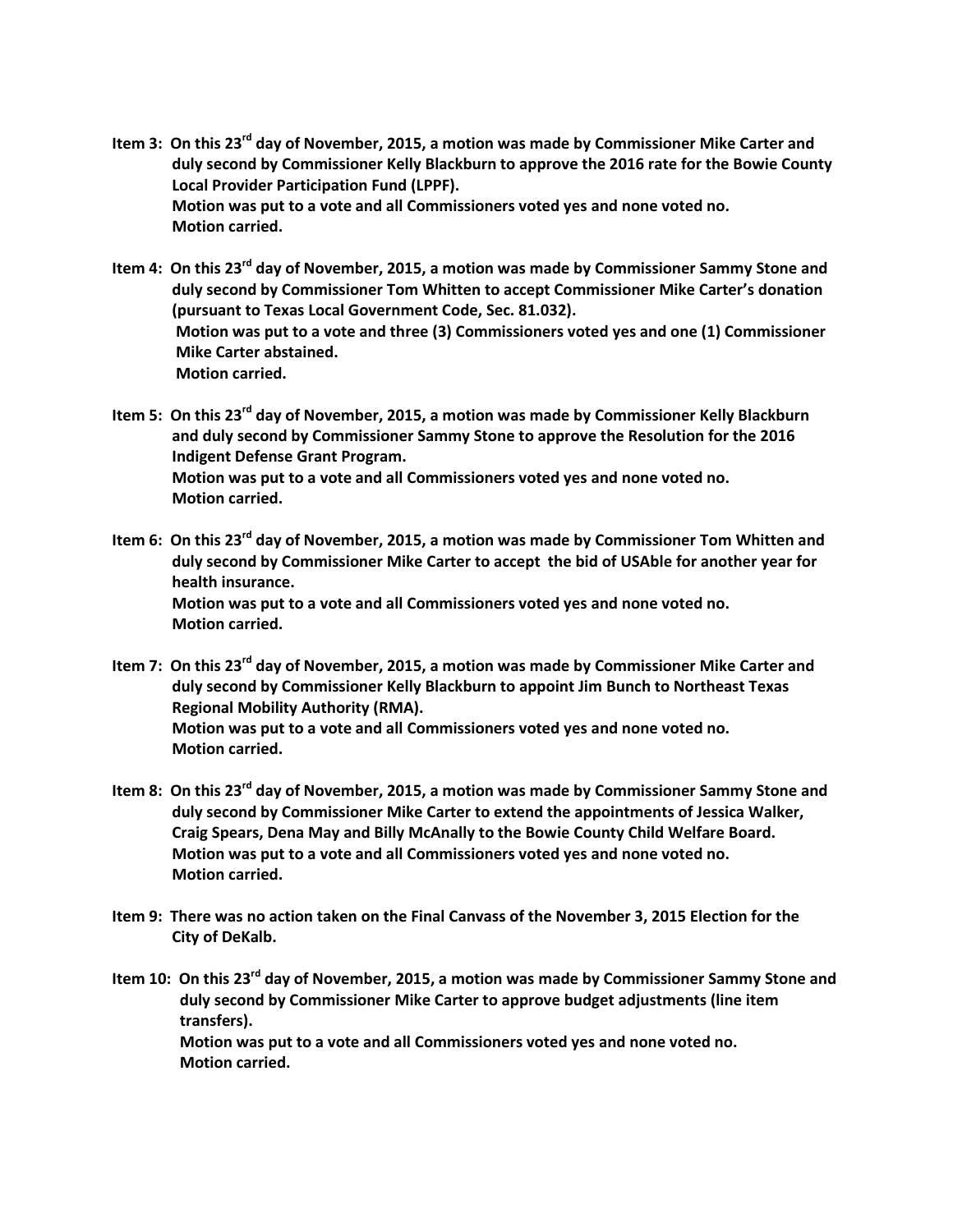- **Item 3: On this 23rd day of November, 2015, a motion was made by Commissioner Mike Carter and duly second by Commissioner Kelly Blackburn to approve the 2016 rate for the Bowie County Local Provider Participation Fund (LPPF). Motion was put to a vote and all Commissioners voted yes and none voted no. Motion carried.**
- **Item 4: On this 23rd day of November, 2015, a motion was made by Commissioner Sammy Stone and duly second by Commissioner Tom Whitten to accept Commissioner Mike Carter's donation (pursuant to Texas Local Government Code, Sec. 81.032). Motion was put to a vote and three (3) Commissioners voted yes and one (1) Commissioner Mike Carter abstained. Motion carried.**
- **Item 5: On this 23rd day of November, 2015, a motion was made by Commissioner Kelly Blackburn and duly second by Commissioner Sammy Stone to approve the Resolution for the 2016 Indigent Defense Grant Program. Motion was put to a vote and all Commissioners voted yes and none voted no. Motion carried.**
- **Item 6: On this 23rd day of November, 2015, a motion was made by Commissioner Tom Whitten and duly second by Commissioner Mike Carter to accept the bid of USAble for another year for health insurance. Motion was put to a vote and all Commissioners voted yes and none voted no. Motion carried.**
- **Item 7: On this 23rd day of November, 2015, a motion was made by Commissioner Mike Carter and duly second by Commissioner Kelly Blackburn to appoint Jim Bunch to Northeast Texas Regional Mobility Authority (RMA). Motion was put to a vote and all Commissioners voted yes and none voted no. Motion carried.**
- **Item 8: On this 23rd day of November, 2015, a motion was made by Commissioner Sammy Stone and duly second by Commissioner Mike Carter to extend the appointments of Jessica Walker, Craig Spears, Dena May and Billy McAnally to the Bowie County Child Welfare Board. Motion was put to a vote and all Commissioners voted yes and none voted no. Motion carried.**
- **Item 9: There was no action taken on the Final Canvass of the November 3, 2015 Election for the City of DeKalb.**
- **Item 10: On this 23rd day of November, 2015, a motion was made by Commissioner Sammy Stone and duly second by Commissioner Mike Carter to approve budget adjustments (line item transfers). Motion was put to a vote and all Commissioners voted yes and none voted no. Motion carried.**